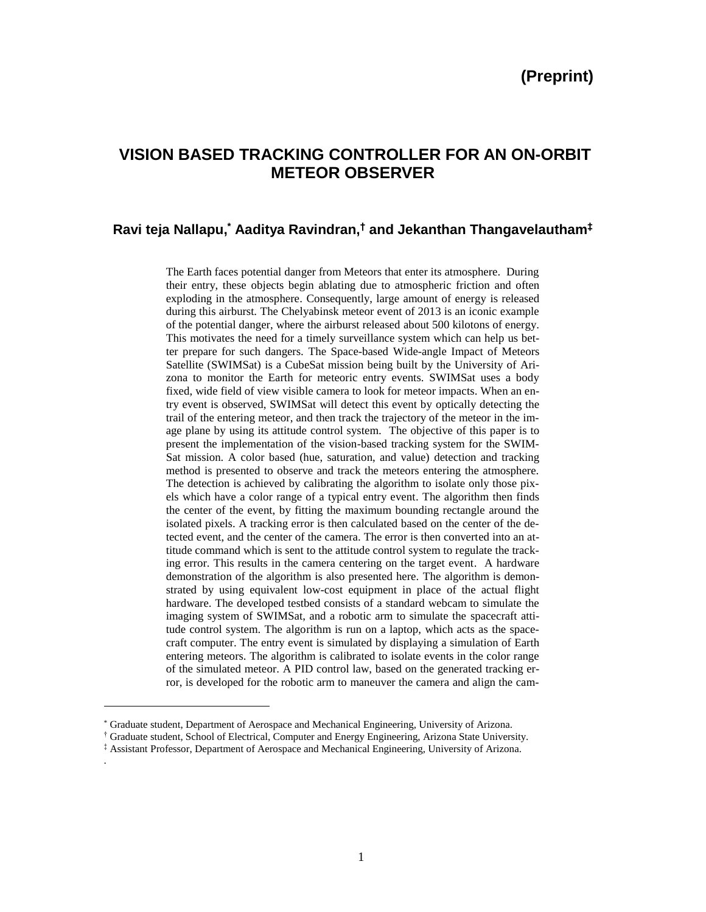# **VISION BASED TRACKING CONTROLLER FOR AN ON-ORBIT METEOR OBSERVER**

# **Ravi teja Nallapu,\* Aaditya Ravindran,† and Jekanthan Thangavelautham‡**

The Earth faces potential danger from Meteors that enter its atmosphere. During their entry, these objects begin ablating due to atmospheric friction and often exploding in the atmosphere. Consequently, large amount of energy is released during this airburst. The Chelyabinsk meteor event of 2013 is an iconic example of the potential danger, where the airburst released about 500 kilotons of energy. This motivates the need for a timely surveillance system which can help us better prepare for such dangers. The Space-based Wide-angle Impact of Meteors Satellite (SWIMSat) is a CubeSat mission being built by the University of Arizona to monitor the Earth for meteoric entry events. SWIMSat uses a body fixed, wide field of view visible camera to look for meteor impacts. When an entry event is observed, SWIMSat will detect this event by optically detecting the trail of the entering meteor, and then track the trajectory of the meteor in the image plane by using its attitude control system. The objective of this paper is to present the implementation of the vision-based tracking system for the SWIM-Sat mission. A color based (hue, saturation, and value) detection and tracking method is presented to observe and track the meteors entering the atmosphere. The detection is achieved by calibrating the algorithm to isolate only those pixels which have a color range of a typical entry event. The algorithm then finds the center of the event, by fitting the maximum bounding rectangle around the isolated pixels. A tracking error is then calculated based on the center of the detected event, and the center of the camera. The error is then converted into an attitude command which is sent to the attitude control system to regulate the tracking error. This results in the camera centering on the target event. A hardware demonstration of the algorithm is also presented here. The algorithm is demonstrated by using equivalent low-cost equipment in place of the actual flight hardware. The developed testbed consists of a standard webcam to simulate the imaging system of SWIMSat, and a robotic arm to simulate the spacecraft attitude control system. The algorithm is run on a laptop, which acts as the spacecraft computer. The entry event is simulated by displaying a simulation of Earth entering meteors. The algorithm is calibrated to isolate events in the color range of the simulated meteor. A PID control law, based on the generated tracking error, is developed for the robotic arm to maneuver the camera and align the cam-

l

<sup>\*</sup> Graduate student, Department of Aerospace and Mechanical Engineering, University of Arizona.

<sup>†</sup> Graduate student, School of Electrical, Computer and Energy Engineering, Arizona State University.

<sup>‡</sup> Assistant Professor, Department of Aerospace and Mechanical Engineering, University of Arizona. .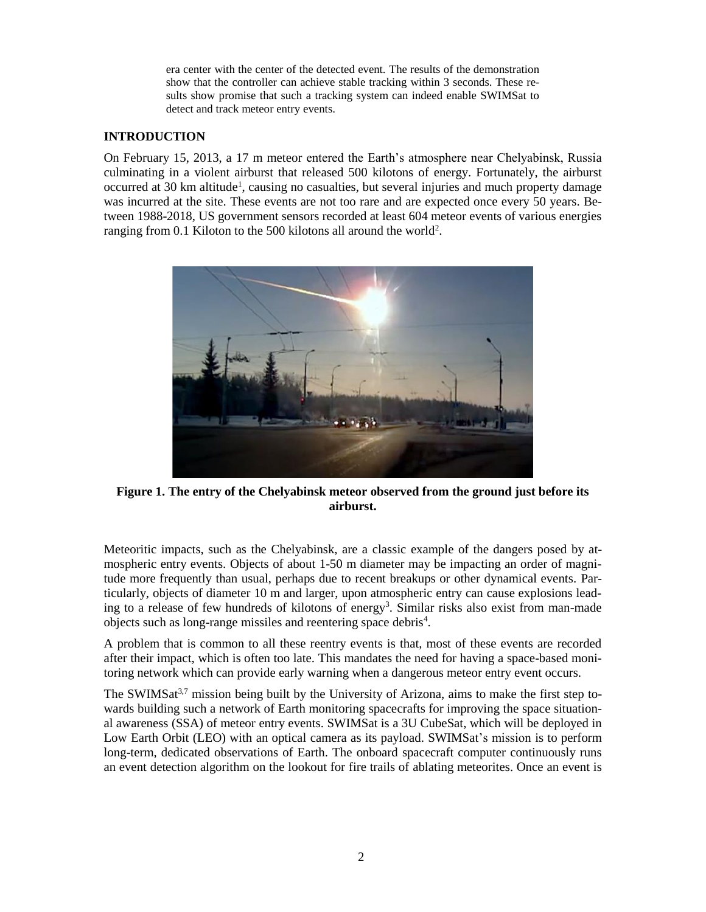era center with the center of the detected event. The results of the demonstration show that the controller can achieve stable tracking within 3 seconds. These results show promise that such a tracking system can indeed enable SWIMSat to detect and track meteor entry events.

# **INTRODUCTION**

On February 15, 2013, a 17 m meteor entered the Earth's atmosphere near Chelyabinsk, Russia culminating in a violent airburst that released 500 kilotons of energy. Fortunately, the airburst occurred at 30 km altitude<sup>1</sup>, causing no casualties, but several injuries and much property damage was incurred at the site. These events are not too rare and are expected once every 50 years. Between 1988-2018, US government sensors recorded at least 604 meteor events of various energies ranging from 0.1 Kiloton to the 500 kilotons all around the world<sup>2</sup>.



**Figure 1. The entry of the Chelyabinsk meteor observed from the ground just before its airburst.**

Meteoritic impacts, such as the Chelyabinsk, are a classic example of the dangers posed by atmospheric entry events. Objects of about 1-50 m diameter may be impacting an order of magnitude more frequently than usual, perhaps due to recent breakups or other dynamical events. Particularly, objects of diameter 10 m and larger, upon atmospheric entry can cause explosions leading to a release of few hundreds of kilotons of energy<sup>3</sup>. Similar risks also exist from man-made objects such as long-range missiles and reentering space debris<sup>4</sup>.

A problem that is common to all these reentry events is that, most of these events are recorded after their impact, which is often too late. This mandates the need for having a space-based monitoring network which can provide early warning when a dangerous meteor entry event occurs.

The SWIMSat<sup>3,7</sup> mission being built by the University of Arizona, aims to make the first step towards building such a network of Earth monitoring spacecrafts for improving the space situational awareness (SSA) of meteor entry events. SWIMSat is a 3U CubeSat, which will be deployed in Low Earth Orbit (LEO) with an optical camera as its payload. SWIMSat's mission is to perform long-term, dedicated observations of Earth. The onboard spacecraft computer continuously runs an event detection algorithm on the lookout for fire trails of ablating meteorites. Once an event is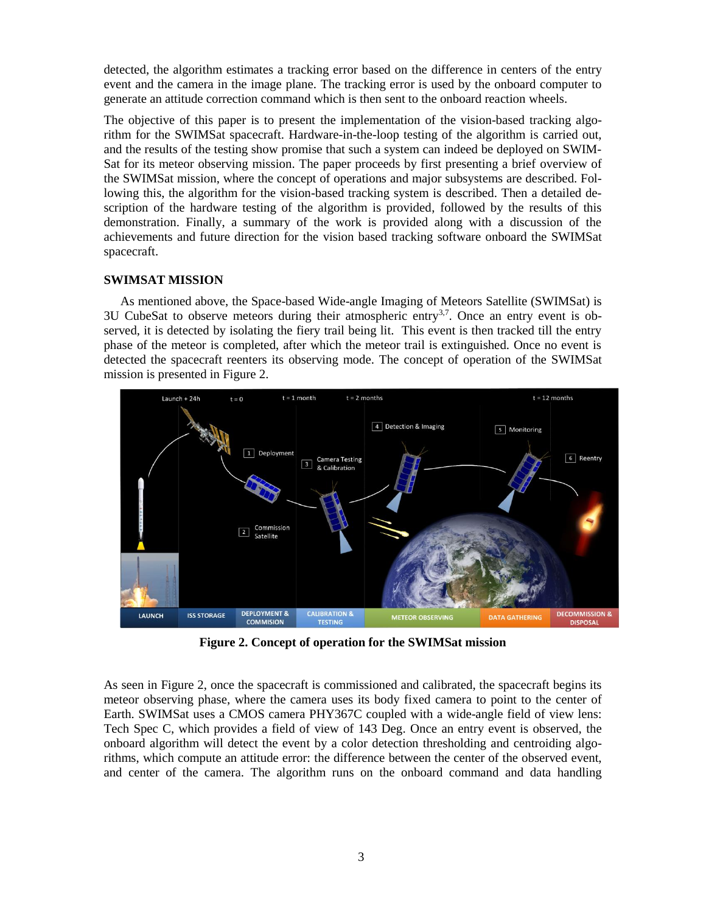detected, the algorithm estimates a tracking error based on the difference in centers of the entry event and the camera in the image plane. The tracking error is used by the onboard computer to generate an attitude correction command which is then sent to the onboard reaction wheels.

The objective of this paper is to present the implementation of the vision-based tracking algorithm for the SWIMSat spacecraft. Hardware-in-the-loop testing of the algorithm is carried out, and the results of the testing show promise that such a system can indeed be deployed on SWIM-Sat for its meteor observing mission. The paper proceeds by first presenting a brief overview of the SWIMSat mission, where the concept of operations and major subsystems are described. Following this, the algorithm for the vision-based tracking system is described. Then a detailed description of the hardware testing of the algorithm is provided, followed by the results of this demonstration. Finally, a summary of the work is provided along with a discussion of the achievements and future direction for the vision based tracking software onboard the SWIMSat spacecraft.

## **SWIMSAT MISSION**

As mentioned above, the Space-based Wide-angle Imaging of Meteors Satellite (SWIMSat) is 3U CubeSat to observe meteors during their atmospheric entry $3.7$ . Once an entry event is observed, it is detected by isolating the fiery trail being lit. This event is then tracked till the entry phase of the meteor is completed, after which the meteor trail is extinguished. Once no event is detected the spacecraft reenters its observing mode. The concept of operation of the SWIMSat mission is presented in Figure 2.



**Figure 2. Concept of operation for the SWIMSat mission**

As seen in Figure 2, once the spacecraft is commissioned and calibrated, the spacecraft begins its meteor observing phase, where the camera uses its body fixed camera to point to the center of Earth. SWIMSat uses a CMOS camera PHY367C coupled with a wide-angle field of view lens: Tech Spec C, which provides a field of view of 143 Deg. Once an entry event is observed, the onboard algorithm will detect the event by a color detection thresholding and centroiding algorithms, which compute an attitude error: the difference between the center of the observed event, and center of the camera. The algorithm runs on the onboard command and data handling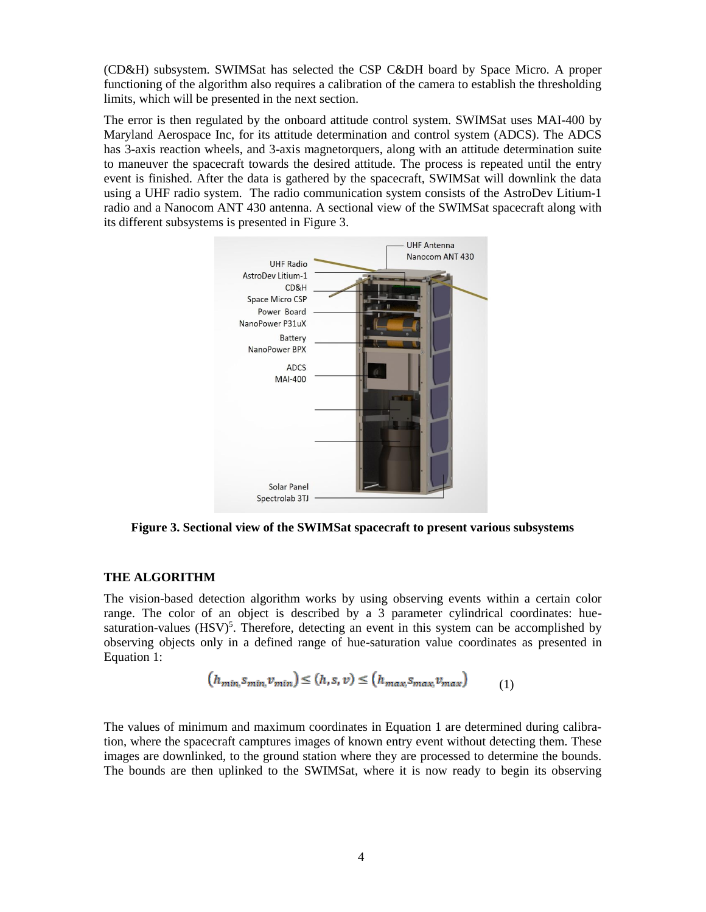(CD&H) subsystem. SWIMSat has selected the CSP C&DH board by Space Micro. A proper functioning of the algorithm also requires a calibration of the camera to establish the thresholding limits, which will be presented in the next section.

The error is then regulated by the onboard attitude control system. SWIMSat uses MAI-400 by Maryland Aerospace Inc, for its attitude determination and control system (ADCS). The ADCS has 3-axis reaction wheels, and 3-axis magnetorquers, along with an attitude determination suite to maneuver the spacecraft towards the desired attitude. The process is repeated until the entry event is finished. After the data is gathered by the spacecraft, SWIMSat will downlink the data using a UHF radio system. The radio communication system consists of the AstroDev Litium-1 radio and a Nanocom ANT 430 antenna. A sectional view of the SWIMSat spacecraft along with its different subsystems is presented in Figure 3.



**Figure 3. Sectional view of the SWIMSat spacecraft to present various subsystems**

#### **THE ALGORITHM**

The vision-based detection algorithm works by using observing events within a certain color range. The color of an object is described by a 3 parameter cylindrical coordinates: huesaturation-values  $(HSV)^5$ . Therefore, detecting an event in this system can be accomplished by observing objects only in a defined range of hue-saturation value coordinates as presented in Equation 1:

$$
(h_{min,5min,1min}) \le (h,s,v) \le (h_{max,5max,1max}) \tag{1}
$$

The values of minimum and maximum coordinates in Equation 1 are determined during calibration, where the spacecraft camptures images of known entry event without detecting them. These images are downlinked, to the ground station where they are processed to determine the bounds. The bounds are then uplinked to the SWIMSat, where it is now ready to begin its observing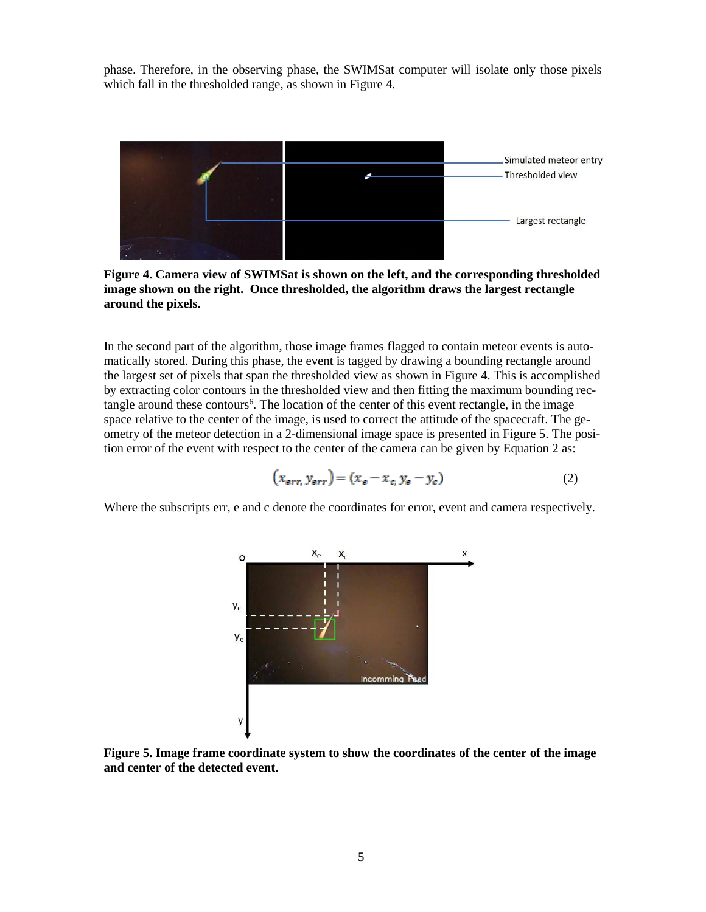phase. Therefore, in the observing phase, the SWIMSat computer will isolate only those pixels which fall in the thresholded range, as shown in Figure 4.



**Figure 4. Camera view of SWIMSat is shown on the left, and the corresponding thresholded image shown on the right. Once thresholded, the algorithm draws the largest rectangle around the pixels.**

In the second part of the algorithm, those image frames flagged to contain meteor events is automatically stored. During this phase, the event is tagged by drawing a bounding rectangle around the largest set of pixels that span the thresholded view as shown in Figure 4. This is accomplished by extracting color contours in the thresholded view and then fitting the maximum bounding rectangle around these contours<sup>6</sup>. The location of the center of this event rectangle, in the image space relative to the center of the image, is used to correct the attitude of the spacecraft. The geometry of the meteor detection in a 2-dimensional image space is presented in Figure 5. The position error of the event with respect to the center of the camera can be given by Equation 2 as:

$$
(x_{\text{err}}, y_{\text{err}}) = (x_e - x_c, y_e - y_c)
$$
 (2)

Where the subscripts err, e and c denote the coordinates for error, event and camera respectively.



**Figure 5. Image frame coordinate system to show the coordinates of the center of the image and center of the detected event.**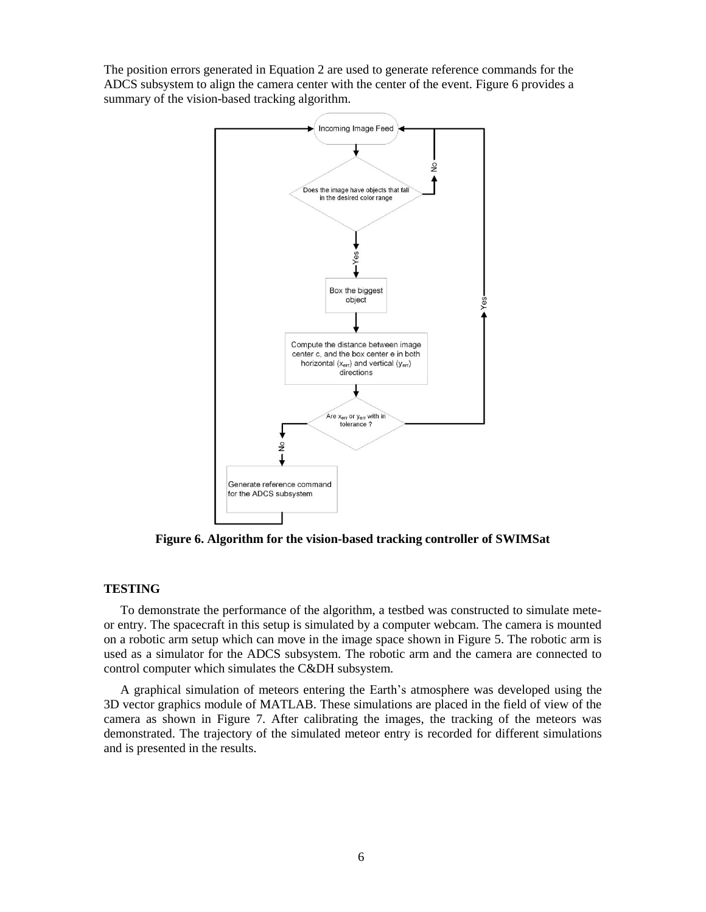The position errors generated in Equation 2 are used to generate reference commands for the ADCS subsystem to align the camera center with the center of the event. Figure 6 provides a summary of the vision-based tracking algorithm.



**Figure 6. Algorithm for the vision-based tracking controller of SWIMSat** 

## **TESTING**

To demonstrate the performance of the algorithm, a testbed was constructed to simulate meteor entry. The spacecraft in this setup is simulated by a computer webcam. The camera is mounted on a robotic arm setup which can move in the image space shown in Figure 5. The robotic arm is used as a simulator for the ADCS subsystem. The robotic arm and the camera are connected to control computer which simulates the C&DH subsystem.

A graphical simulation of meteors entering the Earth's atmosphere was developed using the 3D vector graphics module of MATLAB. These simulations are placed in the field of view of the camera as shown in Figure 7. After calibrating the images, the tracking of the meteors was demonstrated. The trajectory of the simulated meteor entry is recorded for different simulations and is presented in the results.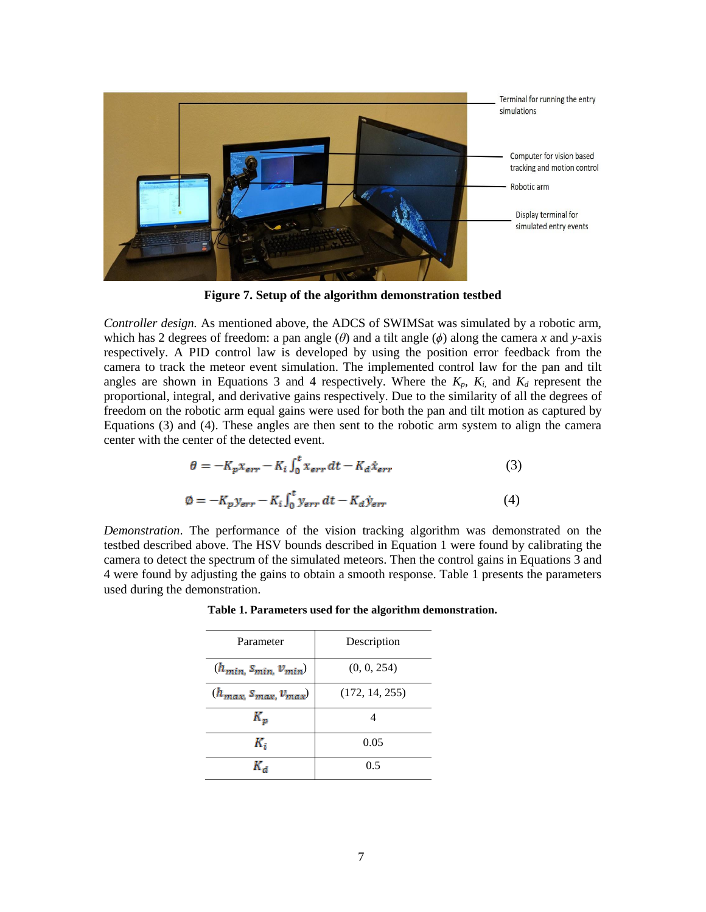

**Figure 7. Setup of the algorithm demonstration testbed**

*Controller design.* As mentioned above, the ADCS of SWIMSat was simulated by a robotic arm, which has 2 degrees of freedom: a pan angle (*θ*) and a tilt angle (*ϕ*) along the camera *x* and *y*-axis respectively. A PID control law is developed by using the position error feedback from the camera to track the meteor event simulation. The implemented control law for the pan and tilt angles are shown in Equations 3 and 4 respectively. Where the  $K_p$ ,  $K_i$  and  $K_d$  represent the proportional, integral, and derivative gains respectively. Due to the similarity of all the degrees of freedom on the robotic arm equal gains were used for both the pan and tilt motion as captured by Equations (3) and (4). These angles are then sent to the robotic arm system to align the camera center with the center of the detected event.

$$
\theta = -K_p x_{err} - K_i \int_0^t x_{err} dt - K_d \dot{x}_{err}
$$
 (3)

$$
\emptyset = -K_p y_{err} - K_i \int_0^t y_{err} dt - K_d \dot{y}_{err}
$$
\n(4)

*Demonstration*. The performance of the vision tracking algorithm was demonstrated on the testbed described above. The HSV bounds described in Equation 1 were found by calibrating the camera to detect the spectrum of the simulated meteors. Then the control gains in Equations 3 and 4 were found by adjusting the gains to obtain a smooth response. Table 1 presents the parameters used during the demonstration.

| Parameter                    | Description    |
|------------------------------|----------------|
| $(h_{min, S_{min}, v_{min})$ | (0, 0, 254)    |
| $(h_{max, S_{max}, v_{max})$ | (172, 14, 255) |
| $K_{\mathbf{p}}$             |                |
| Κ,                           | 0.05           |
|                              | 0.5            |

**Table 1. Parameters used for the algorithm demonstration.**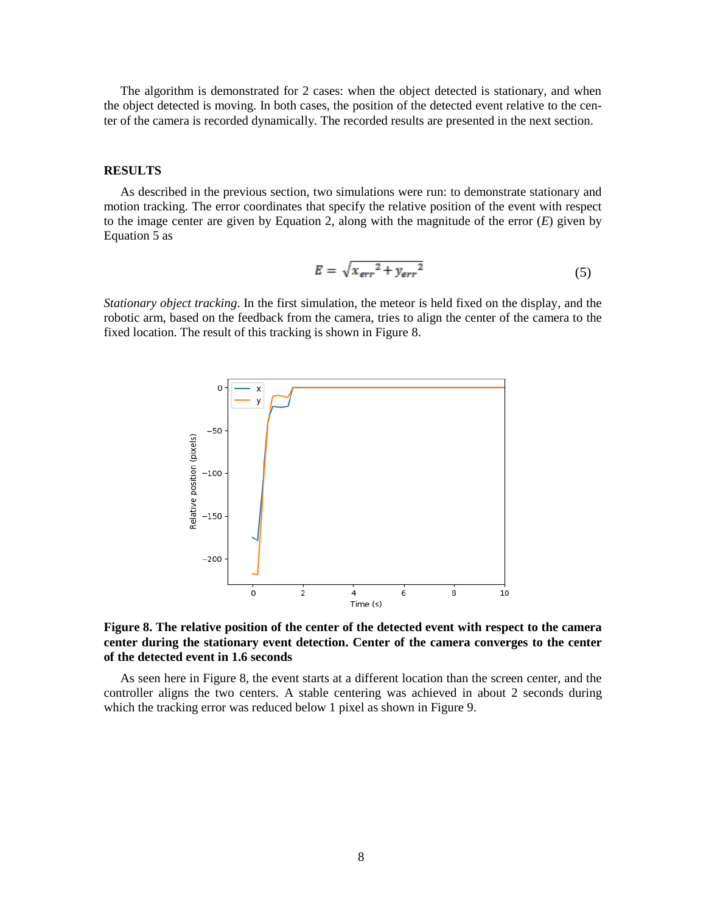The algorithm is demonstrated for 2 cases: when the object detected is stationary, and when the object detected is moving. In both cases, the position of the detected event relative to the center of the camera is recorded dynamically. The recorded results are presented in the next section.

#### **RESULTS**

As described in the previous section, two simulations were run: to demonstrate stationary and motion tracking. The error coordinates that specify the relative position of the event with respect to the image center are given by Equation 2, along with the magnitude of the error (*E*) given by Equation 5 as

$$
E = \sqrt{x_{err}^2 + y_{err}^2} \tag{5}
$$

*Stationary object tracking*. In the first simulation, the meteor is held fixed on the display, and the robotic arm, based on the feedback from the camera, tries to align the center of the camera to the fixed location. The result of this tracking is shown in Figure 8.





As seen here in Figure 8, the event starts at a different location than the screen center, and the controller aligns the two centers. A stable centering was achieved in about 2 seconds during which the tracking error was reduced below 1 pixel as shown in Figure 9.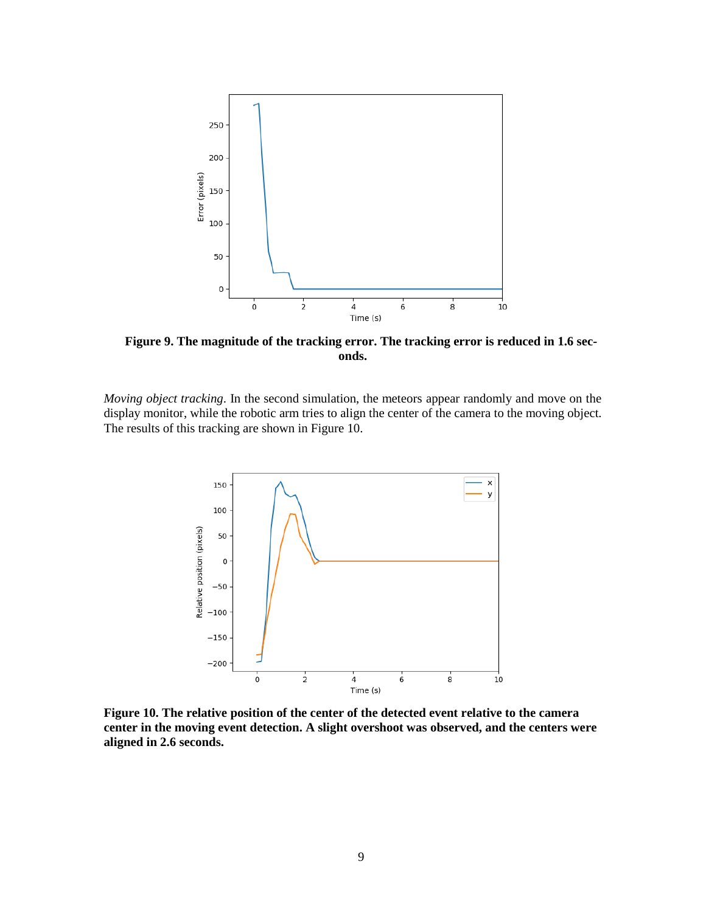

**Figure 9. The magnitude of the tracking error. The tracking error is reduced in 1.6 seconds.**

*Moving object tracking*. In the second simulation, the meteors appear randomly and move on the display monitor, while the robotic arm tries to align the center of the camera to the moving object. The results of this tracking are shown in Figure 10.



**Figure 10. The relative position of the center of the detected event relative to the camera center in the moving event detection. A slight overshoot was observed, and the centers were aligned in 2.6 seconds.**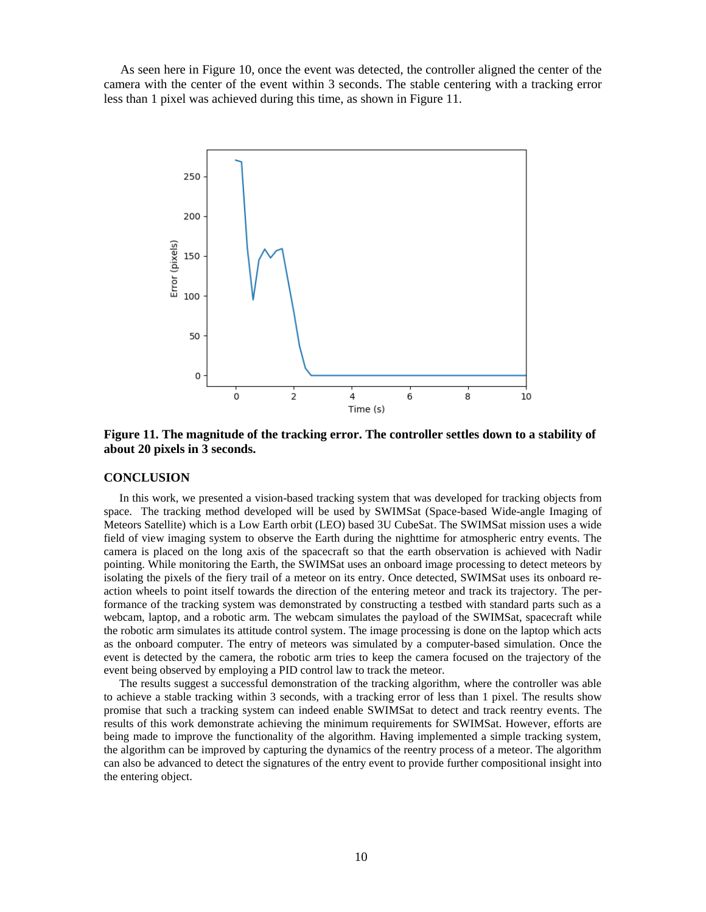As seen here in Figure 10, once the event was detected, the controller aligned the center of the camera with the center of the event within 3 seconds. The stable centering with a tracking error less than 1 pixel was achieved during this time, as shown in Figure 11.



**Figure 11. The magnitude of the tracking error. The controller settles down to a stability of about 20 pixels in 3 seconds.**

#### **CONCLUSION**

In this work, we presented a vision-based tracking system that was developed for tracking objects from space. The tracking method developed will be used by SWIMSat (Space-based Wide-angle Imaging of Meteors Satellite) which is a Low Earth orbit (LEO) based 3U CubeSat. The SWIMSat mission uses a wide field of view imaging system to observe the Earth during the nighttime for atmospheric entry events. The camera is placed on the long axis of the spacecraft so that the earth observation is achieved with Nadir pointing. While monitoring the Earth, the SWIMSat uses an onboard image processing to detect meteors by isolating the pixels of the fiery trail of a meteor on its entry. Once detected, SWIMSat uses its onboard reaction wheels to point itself towards the direction of the entering meteor and track its trajectory. The performance of the tracking system was demonstrated by constructing a testbed with standard parts such as a webcam, laptop, and a robotic arm. The webcam simulates the payload of the SWIMSat, spacecraft while the robotic arm simulates its attitude control system. The image processing is done on the laptop which acts as the onboard computer. The entry of meteors was simulated by a computer-based simulation. Once the event is detected by the camera, the robotic arm tries to keep the camera focused on the trajectory of the event being observed by employing a PID control law to track the meteor.

The results suggest a successful demonstration of the tracking algorithm, where the controller was able to achieve a stable tracking within 3 seconds, with a tracking error of less than 1 pixel. The results show promise that such a tracking system can indeed enable SWIMSat to detect and track reentry events. The results of this work demonstrate achieving the minimum requirements for SWIMSat. However, efforts are being made to improve the functionality of the algorithm. Having implemented a simple tracking system, the algorithm can be improved by capturing the dynamics of the reentry process of a meteor. The algorithm can also be advanced to detect the signatures of the entry event to provide further compositional insight into the entering object.